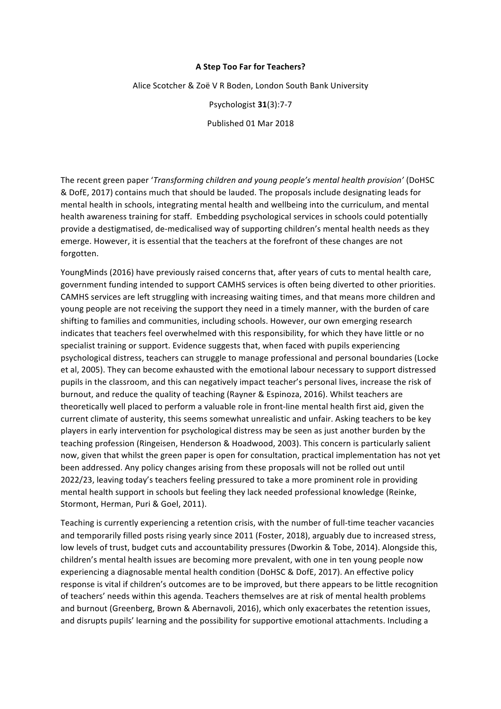## **A Step Too Far for Teachers?**

Alice Scotcher & Zoë V R Boden, London South Bank University

Psychologist **31**(3):7-7

Published 01 Mar 2018

The recent green paper '*Transforming children and young people's mental health provision'* (DoHSC & DofE, 2017) contains much that should be lauded. The proposals include designating leads for mental health in schools, integrating mental health and wellbeing into the curriculum, and mental health awareness training for staff. Embedding psychological services in schools could potentially provide a destigmatised, de-medicalised way of supporting children's mental health needs as they emerge. However, it is essential that the teachers at the forefront of these changes are not forgotten.

YoungMinds (2016) have previously raised concerns that, after years of cuts to mental health care, government funding intended to support CAMHS services is often being diverted to other priorities. CAMHS services are left struggling with increasing waiting times, and that means more children and young people are not receiving the support they need in a timely manner, with the burden of care shifting to families and communities, including schools. However, our own emerging research indicates that teachers feel overwhelmed with this responsibility, for which they have little or no specialist training or support. Evidence suggests that, when faced with pupils experiencing psychological distress, teachers can struggle to manage professional and personal boundaries (Locke et al, 2005). They can become exhausted with the emotional labour necessary to support distressed pupils in the classroom, and this can negatively impact teacher's personal lives, increase the risk of burnout, and reduce the quality of teaching (Rayner & Espinoza, 2016). Whilst teachers are theoretically well placed to perform a valuable role in front-line mental health first aid, given the current climate of austerity, this seems somewhat unrealistic and unfair. Asking teachers to be key players in early intervention for psychological distress may be seen as just another burden by the teaching profession (Ringeisen, Henderson & Hoadwood, 2003). This concern is particularly salient now, given that whilst the green paper is open for consultation, practical implementation has not yet been addressed. Any policy changes arising from these proposals will not be rolled out until 2022/23, leaving today's teachers feeling pressured to take a more prominent role in providing mental health support in schools but feeling they lack needed professional knowledge (Reinke, Stormont, Herman, Puri & Goel, 2011).

Teaching is currently experiencing a retention crisis, with the number of full-time teacher vacancies and temporarily filled posts rising yearly since 2011 (Foster, 2018), arguably due to increased stress, low levels of trust, budget cuts and accountability pressures (Dworkin & Tobe, 2014). Alongside this, children's mental health issues are becoming more prevalent, with one in ten young people now experiencing a diagnosable mental health condition (DoHSC & DofE, 2017). An effective policy response is vital if children's outcomes are to be improved, but there appears to be little recognition of teachers' needs within this agenda. Teachers themselves are at risk of mental health problems and burnout (Greenberg, Brown & Abernavoli, 2016), which only exacerbates the retention issues, and disrupts pupils' learning and the possibility for supportive emotional attachments. Including a